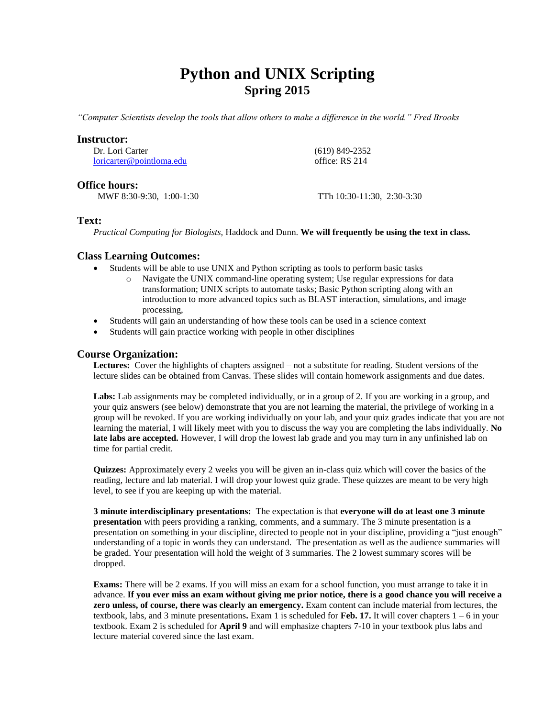# **Python and UNIX Scripting Spring 2015**

*"Computer Scientists develop the tools that allow others to make a difference in the world." Fred Brooks*

### **Instructor:**

Dr. Lori Carter [loricarter@pointloma.edu](mailto:loricarter@pointloma.edu)  (619) 849-2352 office: RS 214

## **Office hours:**

MWF 8:30-9:30, 1:00-1:30 TTh 10:30-11:30, 2:30-3:30

## **Text:**

*Practical Computing for Biologists,* Haddock and Dunn. **We will frequently be using the text in class.**

## **Class Learning Outcomes:**

- Students will be able to use UNIX and Python scripting as tools to perform basic tasks
	- o Navigate the UNIX command-line operating system; Use regular expressions for data transformation; UNIX scripts to automate tasks; Basic Python scripting along with an introduction to more advanced topics such as BLAST interaction, simulations, and image processing,
- Students will gain an understanding of how these tools can be used in a science context
- Students will gain practice working with people in other disciplines

## **Course Organization:**

**Lectures:** Cover the highlights of chapters assigned – not a substitute for reading. Student versions of the lecture slides can be obtained from Canvas. These slides will contain homework assignments and due dates.

Labs: Lab assignments may be completed individually, or in a group of 2. If you are working in a group, and your quiz answers (see below) demonstrate that you are not learning the material, the privilege of working in a group will be revoked. If you are working individually on your lab, and your quiz grades indicate that you are not learning the material, I will likely meet with you to discuss the way you are completing the labs individually. **No late labs are accepted.** However, I will drop the lowest lab grade and you may turn in any unfinished lab on time for partial credit.

**Quizzes:** Approximately every 2 weeks you will be given an in-class quiz which will cover the basics of the reading, lecture and lab material. I will drop your lowest quiz grade. These quizzes are meant to be very high level, to see if you are keeping up with the material.

**3 minute interdisciplinary presentations:** The expectation is that **everyone will do at least one 3 minute presentation** with peers providing a ranking, comments, and a summary. The 3 minute presentation is a presentation on something in your discipline, directed to people not in your discipline, providing a "just enough" understanding of a topic in words they can understand. The presentation as well as the audience summaries will be graded. Your presentation will hold the weight of 3 summaries. The 2 lowest summary scores will be dropped.

**Exams:** There will be 2 exams. If you will miss an exam for a school function, you must arrange to take it in advance. **If you ever miss an exam without giving me prior notice, there is a good chance you will receive a zero unless, of course, there was clearly an emergency.** Exam content can include material from lectures, the textbook, labs, and 3 minute presentations**.** Exam 1 is scheduled for **Feb. 17.** It will cover chapters 1 – 6 in your textbook. Exam 2 is scheduled for **April 9** and will emphasize chapters 7-10 in your textbook plus labs and lecture material covered since the last exam.